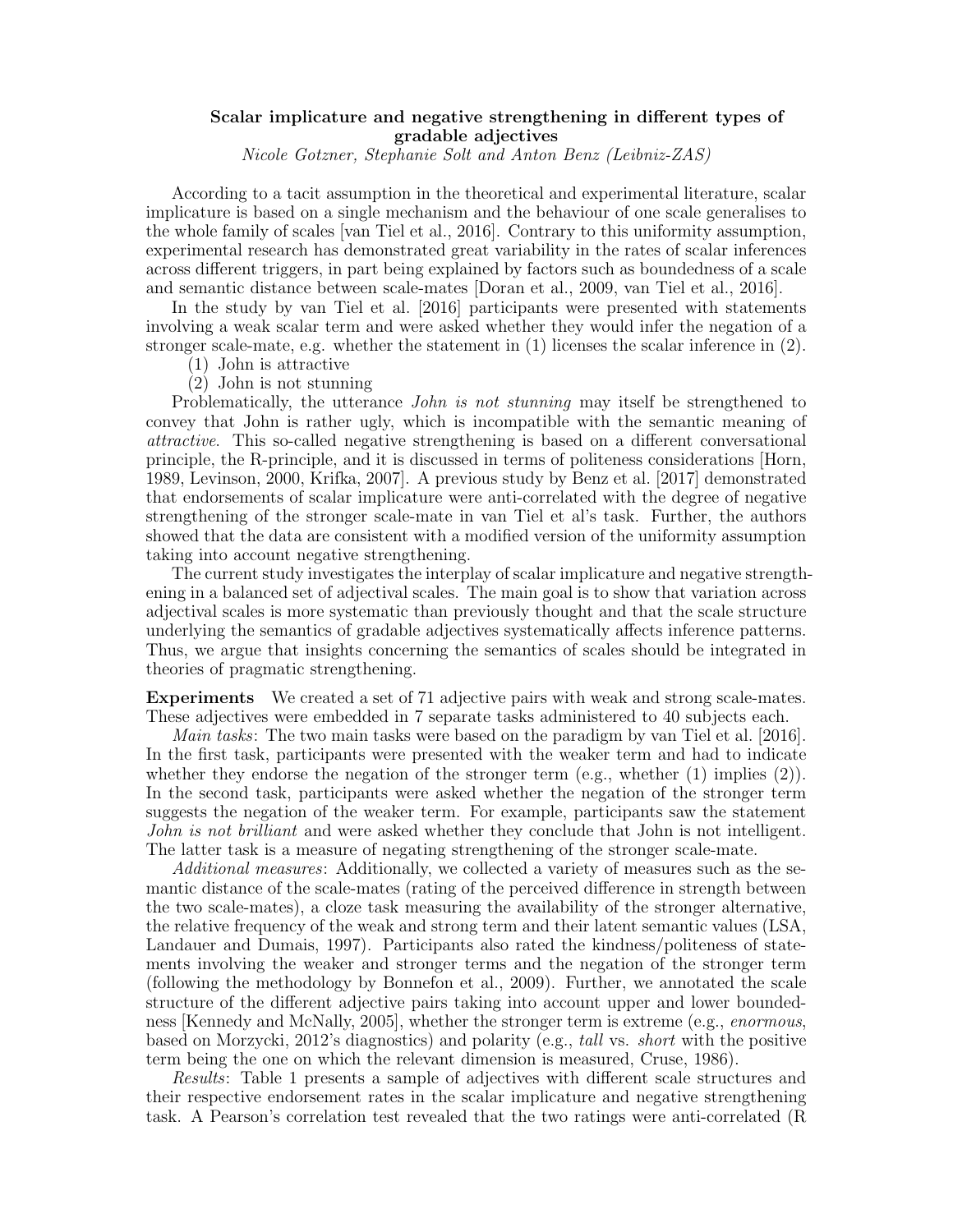## Scalar implicature and negative strengthening in different types of gradable adjectives

Nicole Gotzner, Stephanie Solt and Anton Benz (Leibniz-ZAS)

According to a tacit assumption in the theoretical and experimental literature, scalar implicature is based on a single mechanism and the behaviour of one scale generalises to the whole family of scales [van Tiel et al., 2016]. Contrary to this uniformity assumption, experimental research has demonstrated great variability in the rates of scalar inferences across different triggers, in part being explained by factors such as boundedness of a scale and semantic distance between scale-mates [Doran et al., 2009, van Tiel et al., 2016].

In the study by van Tiel et al. [2016] participants were presented with statements involving a weak scalar term and were asked whether they would infer the negation of a stronger scale-mate, e.g. whether the statement in  $(1)$  licenses the scalar inference in  $(2)$ .

- (1) John is attractive
- (2) John is not stunning

Problematically, the utterance *John is not stunning* may itself be strengthened to convey that John is rather ugly, which is incompatible with the semantic meaning of attractive. This so-called negative strengthening is based on a different conversational principle, the R-principle, and it is discussed in terms of politeness considerations [Horn, 1989, Levinson, 2000, Krifka, 2007]. A previous study by Benz et al. [2017] demonstrated that endorsements of scalar implicature were anti-correlated with the degree of negative strengthening of the stronger scale-mate in van Tiel et al's task. Further, the authors showed that the data are consistent with a modified version of the uniformity assumption taking into account negative strengthening.

The current study investigates the interplay of scalar implicature and negative strengthening in a balanced set of adjectival scales. The main goal is to show that variation across adjectival scales is more systematic than previously thought and that the scale structure underlying the semantics of gradable adjectives systematically affects inference patterns. Thus, we argue that insights concerning the semantics of scales should be integrated in theories of pragmatic strengthening.

Experiments We created a set of 71 adjective pairs with weak and strong scale-mates. These adjectives were embedded in 7 separate tasks administered to 40 subjects each.

Main tasks: The two main tasks were based on the paradigm by van Tiel et al. [2016]. In the first task, participants were presented with the weaker term and had to indicate whether they endorse the negation of the stronger term (e.g., whether (1) implies (2)). In the second task, participants were asked whether the negation of the stronger term suggests the negation of the weaker term. For example, participants saw the statement John is not brilliant and were asked whether they conclude that John is not intelligent. The latter task is a measure of negating strengthening of the stronger scale-mate.

Additional measures: Additionally, we collected a variety of measures such as the semantic distance of the scale-mates (rating of the perceived difference in strength between the two scale-mates), a cloze task measuring the availability of the stronger alternative, the relative frequency of the weak and strong term and their latent semantic values (LSA, Landauer and Dumais, 1997). Participants also rated the kindness/politeness of statements involving the weaker and stronger terms and the negation of the stronger term (following the methodology by Bonnefon et al., 2009). Further, we annotated the scale structure of the different adjective pairs taking into account upper and lower boundedness [Kennedy and McNally, 2005], whether the stronger term is extreme (e.g., *enormous*, based on Morzycki, 2012's diagnostics) and polarity (e.g., tall vs. short with the positive term being the one on which the relevant dimension is measured, Cruse, 1986).

Results: Table 1 presents a sample of adjectives with different scale structures and their respective endorsement rates in the scalar implicature and negative strengthening task. A Pearson's correlation test revealed that the two ratings were anti-correlated (R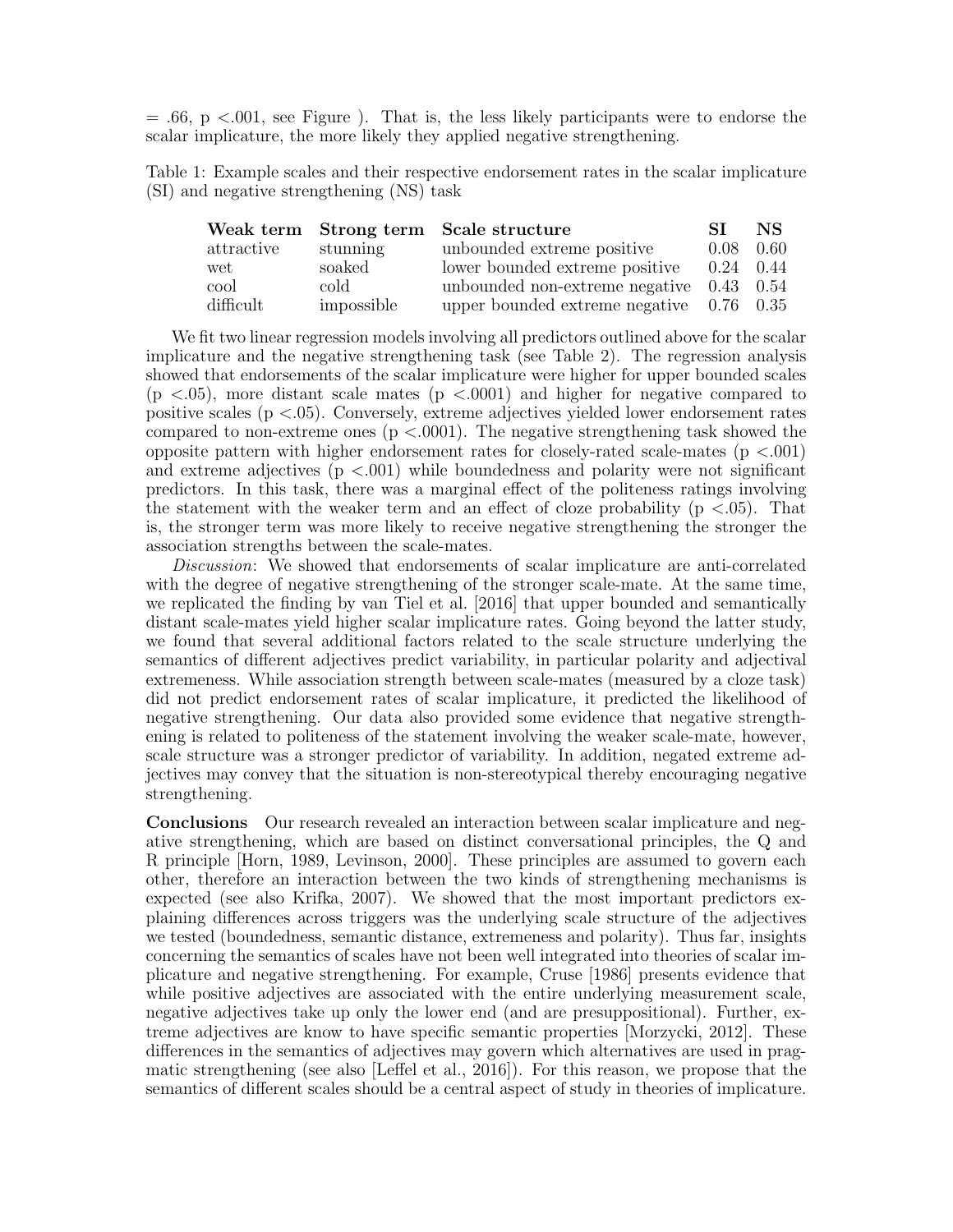$= .66$ , p  $< .001$ , see Figure ). That is, the less likely participants were to endorse the scalar implicature, the more likely they applied negative strengthening.

Table 1: Example scales and their respective endorsement rates in the scalar implicature (SI) and negative strengthening (NS) task

|            |            | Weak term Strong term Scale structure        | -ST         | NS.  |
|------------|------------|----------------------------------------------|-------------|------|
| attractive | stunning   | unbounded extreme positive                   | 0.08        | 0.60 |
| wet        | soaked     | lower bounded extreme positive               | $0.24$ 0.44 |      |
| cool       | cold       | unbounded non-extreme negative $0.43$ $0.54$ |             |      |
| difficult  | impossible | upper bounded extreme negative $0.76$ 0.35   |             |      |

We fit two linear regression models involving all predictors outlined above for the scalar implicature and the negative strengthening task (see Table 2). The regression analysis showed that endorsements of the scalar implicature were higher for upper bounded scales  $(p \lt .05)$ , more distant scale mates  $(p \lt .0001)$  and higher for negative compared to positive scales ( $p < 0.05$ ). Conversely, extreme adjectives yielded lower endorsement rates compared to non-extreme ones ( $p < .0001$ ). The negative strengthening task showed the opposite pattern with higher endorsement rates for closely-rated scale-mates  $(p < .001)$ and extreme adjectives  $(p \lt 0.001)$  while boundedness and polarity were not significant predictors. In this task, there was a marginal effect of the politeness ratings involving the statement with the weaker term and an effect of cloze probability  $(p < .05)$ . That is, the stronger term was more likely to receive negative strengthening the stronger the association strengths between the scale-mates.

Discussion: We showed that endorsements of scalar implicature are anti-correlated with the degree of negative strengthening of the stronger scale-mate. At the same time, we replicated the finding by van Tiel et al. [2016] that upper bounded and semantically distant scale-mates yield higher scalar implicature rates. Going beyond the latter study, we found that several additional factors related to the scale structure underlying the semantics of different adjectives predict variability, in particular polarity and adjectival extremeness. While association strength between scale-mates (measured by a cloze task) did not predict endorsement rates of scalar implicature, it predicted the likelihood of negative strengthening. Our data also provided some evidence that negative strengthening is related to politeness of the statement involving the weaker scale-mate, however, scale structure was a stronger predictor of variability. In addition, negated extreme adjectives may convey that the situation is non-stereotypical thereby encouraging negative strengthening.

Conclusions Our research revealed an interaction between scalar implicature and negative strengthening, which are based on distinct conversational principles, the Q and R principle [Horn, 1989, Levinson, 2000]. These principles are assumed to govern each other, therefore an interaction between the two kinds of strengthening mechanisms is expected (see also Krifka, 2007). We showed that the most important predictors explaining differences across triggers was the underlying scale structure of the adjectives we tested (boundedness, semantic distance, extremeness and polarity). Thus far, insights concerning the semantics of scales have not been well integrated into theories of scalar implicature and negative strengthening. For example, Cruse [1986] presents evidence that while positive adjectives are associated with the entire underlying measurement scale, negative adjectives take up only the lower end (and are presuppositional). Further, extreme adjectives are know to have specific semantic properties [Morzycki, 2012]. These differences in the semantics of adjectives may govern which alternatives are used in pragmatic strengthening (see also [Leffel et al., 2016]). For this reason, we propose that the semantics of different scales should be a central aspect of study in theories of implicature.